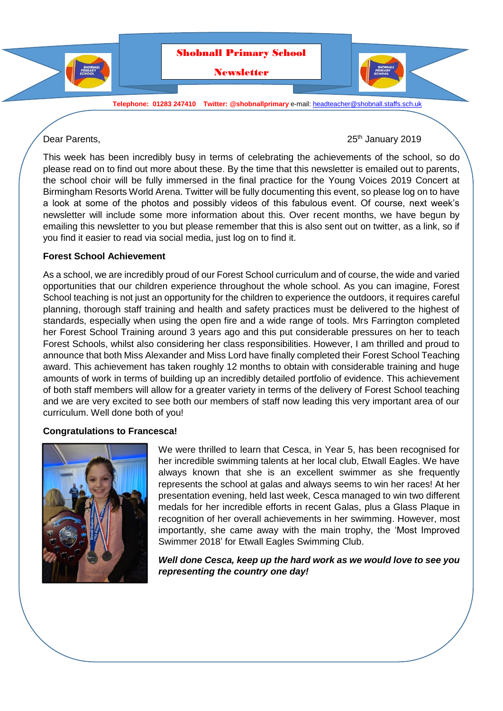

Dear Parents, 2019

This week has been incredibly busy in terms of celebrating the achievements of the school, so do please read on to find out more about these. By the time that this newsletter is emailed out to parents, the school choir will be fully immersed in the final practice for the Young Voices 2019 Concert at Birmingham Resorts World Arena. Twitter will be fully documenting this event, so please log on to have a look at some of the photos and possibly videos of this fabulous event. Of course, next week's newsletter will include some more information about this. Over recent months, we have begun by emailing this newsletter to you but please remember that this is also sent out on twitter, as a link, so if you find it easier to read via social media, just log on to find it.

### **Forest School Achievement**

As a school, we are incredibly proud of our Forest School curriculum and of course, the wide and varied opportunities that our children experience throughout the whole school. As you can imagine, Forest School teaching is not just an opportunity for the children to experience the outdoors, it requires careful planning, thorough staff training and health and safety practices must be delivered to the highest of standards, especially when using the open fire and a wide range of tools. Mrs Farrington completed her Forest School Training around 3 years ago and this put considerable pressures on her to teach Forest Schools, whilst also considering her class responsibilities. However, I am thrilled and proud to announce that both Miss Alexander and Miss Lord have finally completed their Forest School Teaching award. This achievement has taken roughly 12 months to obtain with considerable training and huge amounts of work in terms of building up an incredibly detailed portfolio of evidence. This achievement of both staff members will allow for a greater variety in terms of the delivery of Forest School teaching and we are very excited to see both our members of staff now leading this very important area of our curriculum. Well done both of you!

### **Congratulations to Francesca!**



We were thrilled to learn that Cesca, in Year 5, has been recognised for her incredible swimming talents at her local club, Etwall Eagles. We have always known that she is an excellent swimmer as she frequently represents the school at galas and always seems to win her races! At her presentation evening, held last week, Cesca managed to win two different medals for her incredible efforts in recent Galas, plus a Glass Plaque in recognition of her overall achievements in her swimming. However, most importantly, she came away with the main trophy, the 'Most Improved Swimmer 2018' for Etwall Eagles Swimming Club.

*Well done Cesca, keep up the hard work as we would love to see you representing the country one day!*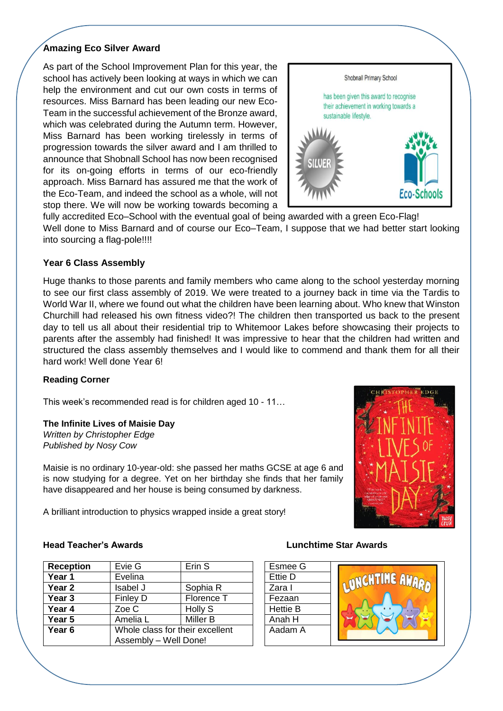### **Amazing Eco Silver Award**

As part of the School Improvement Plan for this year, the school has actively been looking at ways in which we can help the environment and cut our own costs in terms of resources. Miss Barnard has been leading our new Eco-Team in the successful achievement of the Bronze award, which was celebrated during the Autumn term. However, Miss Barnard has been working tirelessly in terms of progression towards the silver award and I am thrilled to announce that Shobnall School has now been recognised for its on-going efforts in terms of our eco-friendly approach. Miss Barnard has assured me that the work of the Eco-Team, and indeed the school as a whole, will not stop there. We will now be working towards becoming a



fully accredited Eco–School with the eventual goal of being awarded with a green Eco-Flag! Well done to Miss Barnard and of course our Eco–Team, I suppose that we had better start looking into sourcing a flag-pole!!!!

# **Year 6 Class Assembly**

Huge thanks to those parents and family members who came along to the school yesterday morning to see our first class assembly of 2019. We were treated to a journey back in time via the Tardis to World War II, where we found out what the children have been learning about. Who knew that Winston Churchill had released his own fitness video?! The children then transported us back to the present day to tell us all about their residential trip to Whitemoor Lakes before showcasing their projects to parents after the assembly had finished! It was impressive to hear that the children had written and structured the class assembly themselves and I would like to commend and thank them for all their hard work! Well done Year 6!

### **Reading Corner**

This week's recommended read is for children aged 10 - 11…

# **The Infinite Lives of Maisie Day**

*Written by Christopher Edge Published by Nosy Cow*

Maisie is no ordinary 10-year-old: she passed her maths GCSE at age 6 and is now studying for a degree. Yet on her birthday she finds that her family have disappeared and her house is being consumed by darkness.

A brilliant introduction to physics wrapped inside a great story!



| Evie G                          | Erin <sub>S</sub> |  | Esmee           |
|---------------------------------|-------------------|--|-----------------|
| Evelina                         |                   |  | Ettie D         |
| Isabel J                        | Sophia R          |  | Zara I          |
| Finley D                        | Florence T        |  | Fezaan          |
| Zoe C                           | <b>Holly S</b>    |  | <b>Hettie E</b> |
| Amelia L                        | Miller B          |  | Anah H          |
| Whole class for their excellent |                   |  | Aadam           |
| Assembly - Well Done!           |                   |  |                 |
|                                 |                   |  |                 |

### **Head Teacher's Awards Lunchtime Star Awards**